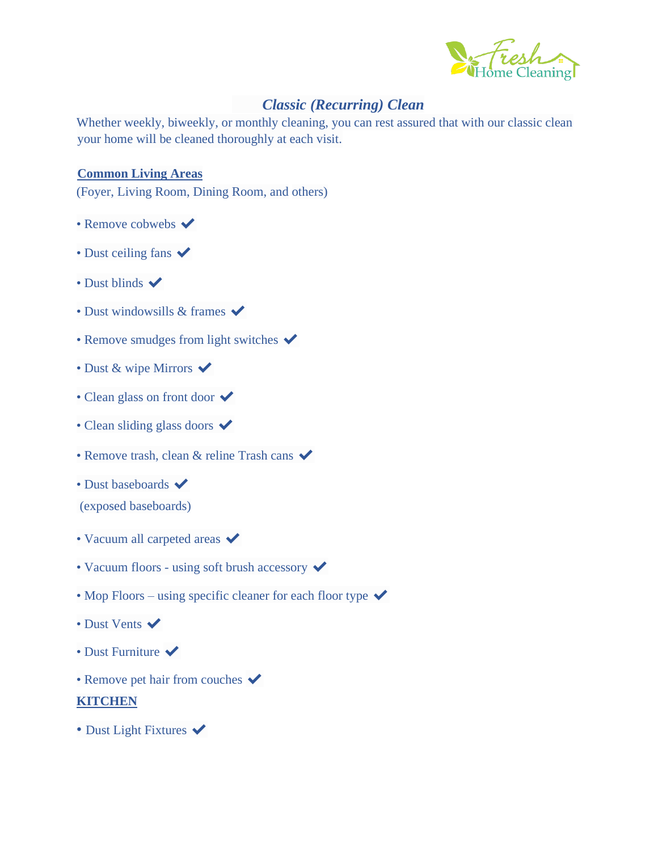

## *Classic (Recurring) Clean*

Whether weekly, biweekly, or monthly cleaning, you can rest assured that with our classic clean your home will be cleaned thoroughly at each visit.

### **Common Living Areas**

(Foyer, Living Room, Dining Room, and others)

- Remove cobwebs  $\blacktriangleright$
- Dust ceiling fans  $\blacktriangleright$
- Dust blinds  $\blacktriangleright$
- Dust windowsills  $&$  frames  $\checkmark$
- Remove smudges from light switches  $\blacktriangledown$
- Dust & wipe Mirrors  $\checkmark$
- Clean glass on front door  $\checkmark$
- Clean sliding glass doors  $\checkmark$
- Remove trash, clean & reline Trash cans  $\checkmark$
- Dust baseboards  $\checkmark$
- (exposed baseboards)
- Vacuum all carpeted areas  $\checkmark$
- Vacuum floors using soft brush accessory  $\checkmark$
- Mop Floors using specific cleaner for each floor type  $\checkmark$
- Dust Vents
- Dust Furniture  $\blacktriangledown$
- Remove pet hair from couches  $\checkmark$

#### **KITCHEN**

• Dust Light Fixtures  $\blacktriangledown$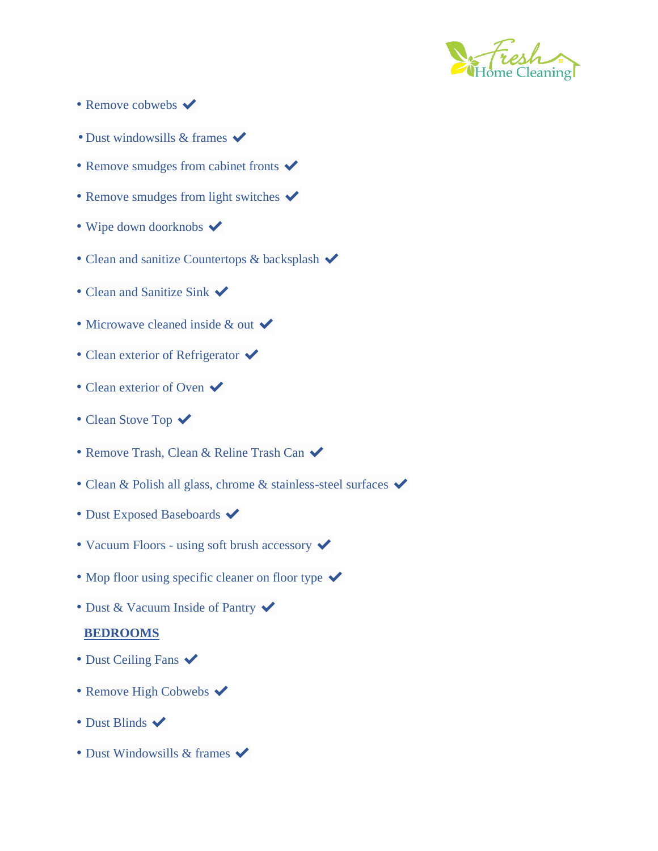

- Remove cobwebs  $\blacktriangledown$
- Dust windowsills & frames  $\checkmark$
- Remove smudges from cabinet fronts  $\blacktriangledown$
- Remove smudges from light switches  $\blacktriangleright$
- Wipe down doorknobs  $\blacktriangledown$
- Clean and sanitize Countertops & backsplash  $\blacktriangleright$
- Clean and Sanitize Sink  $\checkmark$
- Microwave cleaned inside  $&$  out  $\checkmark$
- Clean exterior of Refrigerator  $\checkmark$
- Clean exterior of Oven  $\checkmark$
- Clean Stove Top  $\checkmark$
- Remove Trash, Clean & Reline Trash Can  $\checkmark$
- Clean & Polish all glass, chrome & stainless-steel surfaces  $\checkmark$
- Dust Exposed Baseboards  $\blacktriangledown$
- Vacuum Floors using soft brush accessory  $\checkmark$
- Mop floor using specific cleaner on floor type  $\checkmark$
- Dust & Vacuum Inside of Pantry  $\blacktriangledown$

#### **BEDROOMS**

- Dust Ceiling Fans  $\checkmark$
- Remove High Cobwebs  $\blacktriangledown$
- Dust Blinds  $\blacktriangleright$
- Dust Windowsills & frames  $\checkmark$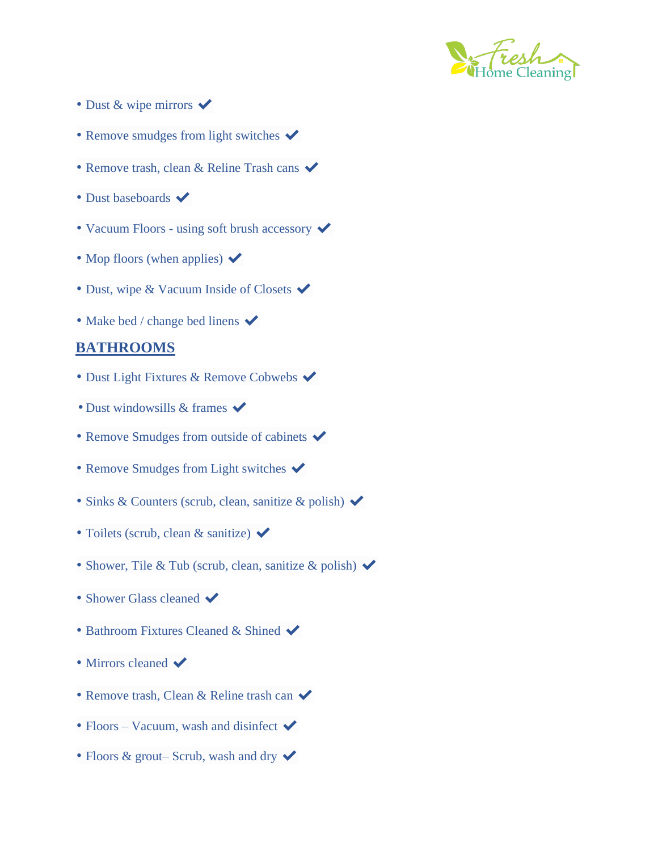

- Dust & wipe mirrors  $\checkmark$
- Remove smudges from light switches  $\blacktriangleright$
- Remove trash, clean & Reline Trash cans  $\checkmark$
- Dust baseboards  $\blacktriangleright$
- Vacuum Floors using soft brush accessory  $\blacktriangledown$
- Mop floors (when applies)  $\blacktriangleright$
- Dust, wipe & Vacuum Inside of Closets  $\blacktriangleright$
- Make bed / change bed linens  $\checkmark$

## **BATHROOMS**

- Dust Light Fixtures & Remove Cobwebs  $\checkmark$
- Dust windowsills  $&$  frames  $\checkmark$
- Remove Smudges from outside of cabinets  $\blacktriangleright$
- Remove Smudges from Light switches  $\checkmark$
- Sinks & Counters (scrub, clean, sanitize & polish)  $\checkmark$
- Toilets (scrub, clean & sanitize)  $\checkmark$
- Shower, Tile & Tub (scrub, clean, sanitize & polish)  $\checkmark$
- Shower Glass cleaned  $\blacktriangleright$
- Bathroom Fixtures Cleaned & Shined  $\checkmark$
- Mirrors cleaned  $\blacktriangleright$
- Remove trash, Clean & Reline trash can  $\checkmark$
- Floors Vacuum, wash and disinfect  $\blacktriangleright$
- Floors & grout– Scrub, wash and dry  $\checkmark$